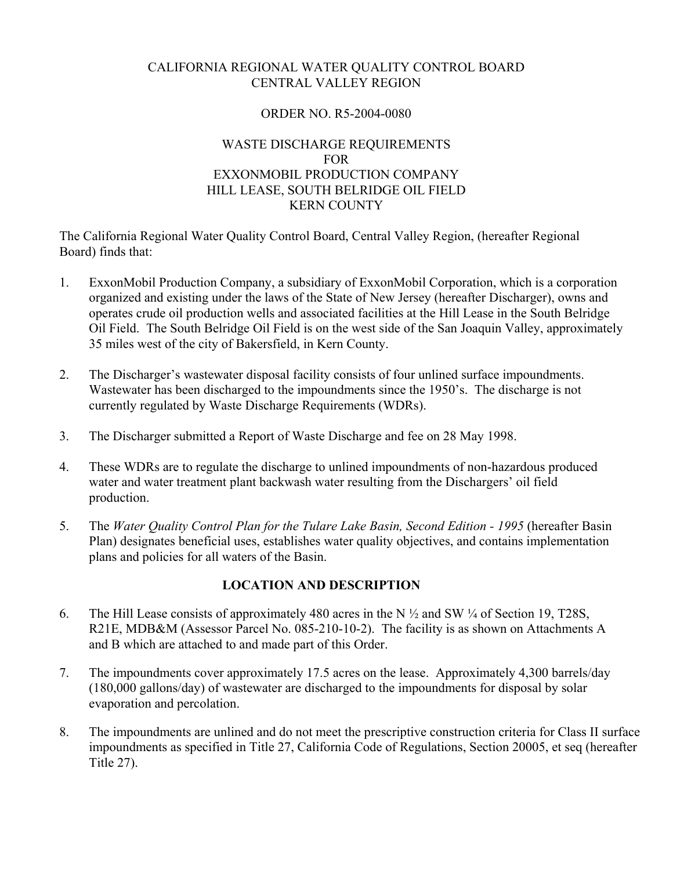# CALIFORNIA REGIONAL WATER QUALITY CONTROL BOARD CENTRAL VALLEY REGION

### ORDER NO. R5-2004-0080

### WASTE DISCHARGE REQUIREMENTS FOR EXXONMOBIL PRODUCTION COMPANY HILL LEASE, SOUTH BELRIDGE OIL FIELD KERN COUNTY

The California Regional Water Quality Control Board, Central Valley Region, (hereafter Regional Board) finds that:

- 1. ExxonMobil Production Company, a subsidiary of ExxonMobil Corporation, which is a corporation organized and existing under the laws of the State of New Jersey (hereafter Discharger), owns and operates crude oil production wells and associated facilities at the Hill Lease in the South Belridge Oil Field. The South Belridge Oil Field is on the west side of the San Joaquin Valley, approximately 35 miles west of the city of Bakersfield, in Kern County.
- 2. The Discharger's wastewater disposal facility consists of four unlined surface impoundments. Wastewater has been discharged to the impoundments since the 1950's. The discharge is not currently regulated by Waste Discharge Requirements (WDRs).
- 3. The Discharger submitted a Report of Waste Discharge and fee on 28 May 1998.
- 4. These WDRs are to regulate the discharge to unlined impoundments of non-hazardous produced water and water treatment plant backwash water resulting from the Dischargers' oil field production.
- 5. The *Water Quality Control Plan for the Tulare Lake Basin, Second Edition 1995* (hereafter Basin Plan) designates beneficial uses, establishes water quality objectives, and contains implementation plans and policies for all waters of the Basin.

## **LOCATION AND DESCRIPTION**

- 6. The Hill Lease consists of approximately 480 acres in the N ½ and SW ¼ of Section 19, T28S, R21E, MDB&M (Assessor Parcel No. 085-210-10-2). The facility is as shown on Attachments A and B which are attached to and made part of this Order.
- 7. The impoundments cover approximately 17.5 acres on the lease. Approximately 4,300 barrels/day (180,000 gallons/day) of wastewater are discharged to the impoundments for disposal by solar evaporation and percolation.
- 8. The impoundments are unlined and do not meet the prescriptive construction criteria for Class II surface impoundments as specified in Title 27, California Code of Regulations, Section 20005, et seq (hereafter Title 27).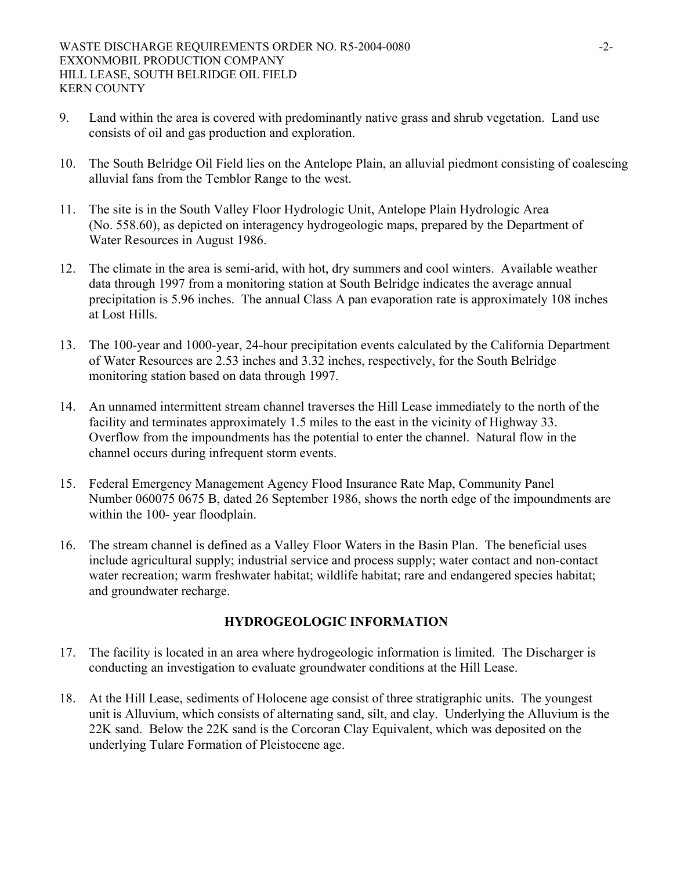- 9. Land within the area is covered with predominantly native grass and shrub vegetation. Land use consists of oil and gas production and exploration.
- 10. The South Belridge Oil Field lies on the Antelope Plain, an alluvial piedmont consisting of coalescing alluvial fans from the Temblor Range to the west.
- 11. The site is in the South Valley Floor Hydrologic Unit, Antelope Plain Hydrologic Area (No. 558.60), as depicted on interagency hydrogeologic maps, prepared by the Department of Water Resources in August 1986.
- 12. The climate in the area is semi-arid, with hot, dry summers and cool winters. Available weather data through 1997 from a monitoring station at South Belridge indicates the average annual precipitation is 5.96 inches. The annual Class A pan evaporation rate is approximately 108 inches at Lost Hills.
- 13. The 100-year and 1000-year, 24-hour precipitation events calculated by the California Department of Water Resources are 2.53 inches and 3.32 inches, respectively, for the South Belridge monitoring station based on data through 1997.
- 14. An unnamed intermittent stream channel traverses the Hill Lease immediately to the north of the facility and terminates approximately 1.5 miles to the east in the vicinity of Highway 33. Overflow from the impoundments has the potential to enter the channel. Natural flow in the channel occurs during infrequent storm events.
- 15. Federal Emergency Management Agency Flood Insurance Rate Map, Community Panel Number 060075 0675 B, dated 26 September 1986, shows the north edge of the impoundments are within the 100- year floodplain.
- 16. The stream channel is defined as a Valley Floor Waters in the Basin Plan. The beneficial uses include agricultural supply; industrial service and process supply; water contact and non-contact water recreation; warm freshwater habitat; wildlife habitat; rare and endangered species habitat; and groundwater recharge.

## **HYDROGEOLOGIC INFORMATION**

- 17. The facility is located in an area where hydrogeologic information is limited. The Discharger is conducting an investigation to evaluate groundwater conditions at the Hill Lease.
- 18. At the Hill Lease, sediments of Holocene age consist of three stratigraphic units. The youngest unit is Alluvium, which consists of alternating sand, silt, and clay. Underlying the Alluvium is the 22K sand. Below the 22K sand is the Corcoran Clay Equivalent, which was deposited on the underlying Tulare Formation of Pleistocene age.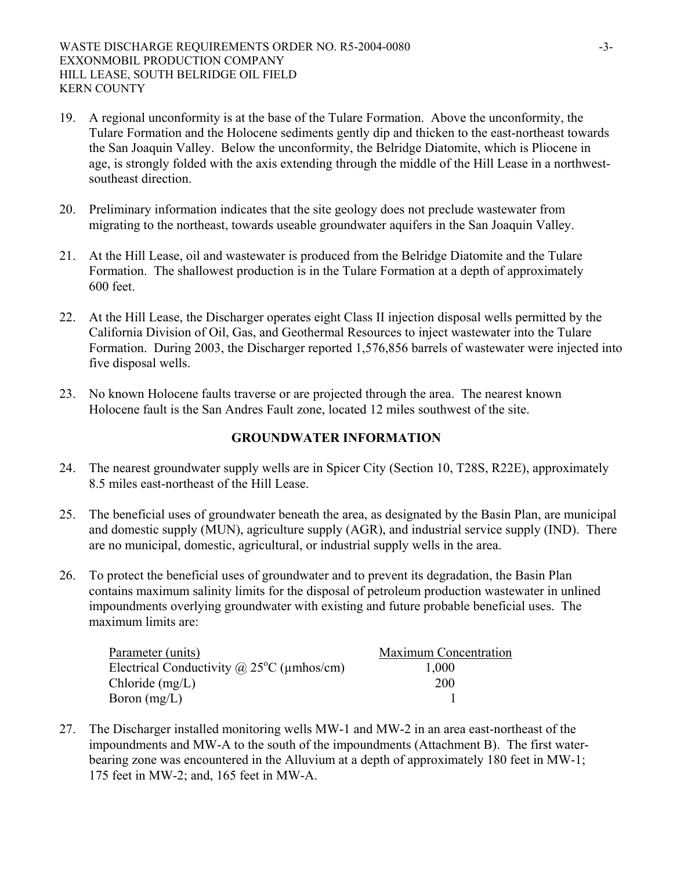- 19. A regional unconformity is at the base of the Tulare Formation. Above the unconformity, the Tulare Formation and the Holocene sediments gently dip and thicken to the east-northeast towards the San Joaquin Valley. Below the unconformity, the Belridge Diatomite, which is Pliocene in age, is strongly folded with the axis extending through the middle of the Hill Lease in a northwestsoutheast direction.
- 20. Preliminary information indicates that the site geology does not preclude wastewater from migrating to the northeast, towards useable groundwater aquifers in the San Joaquin Valley.
- 21. At the Hill Lease, oil and wastewater is produced from the Belridge Diatomite and the Tulare Formation. The shallowest production is in the Tulare Formation at a depth of approximately 600 feet.
- 22. At the Hill Lease, the Discharger operates eight Class II injection disposal wells permitted by the California Division of Oil, Gas, and Geothermal Resources to inject wastewater into the Tulare Formation. During 2003, the Discharger reported 1,576,856 barrels of wastewater were injected into five disposal wells.
- 23. No known Holocene faults traverse or are projected through the area. The nearest known Holocene fault is the San Andres Fault zone, located 12 miles southwest of the site.

## **GROUNDWATER INFORMATION**

- 24. The nearest groundwater supply wells are in Spicer City (Section 10, T28S, R22E), approximately 8.5 miles east-northeast of the Hill Lease.
- 25. The beneficial uses of groundwater beneath the area, as designated by the Basin Plan, are municipal and domestic supply (MUN), agriculture supply (AGR), and industrial service supply (IND). There are no municipal, domestic, agricultural, or industrial supply wells in the area.
- 26. To protect the beneficial uses of groundwater and to prevent its degradation, the Basin Plan contains maximum salinity limits for the disposal of petroleum production wastewater in unlined impoundments overlying groundwater with existing and future probable beneficial uses. The maximum limits are:

| Parameter (units)                                                             | <b>Maximum Concentration</b> |
|-------------------------------------------------------------------------------|------------------------------|
| Electrical Conductivity ( $\hat{\omega}$ , 25 <sup>o</sup> C ( $\mu$ mhos/cm) | 1,000                        |
| Chloride $(mg/L)$                                                             | <b>200</b>                   |
| Boron $(mg/L)$                                                                |                              |

27. The Discharger installed monitoring wells MW-1 and MW-2 in an area east-northeast of the impoundments and MW-A to the south of the impoundments (Attachment B). The first waterbearing zone was encountered in the Alluvium at a depth of approximately 180 feet in MW-1; 175 feet in MW-2; and, 165 feet in MW-A.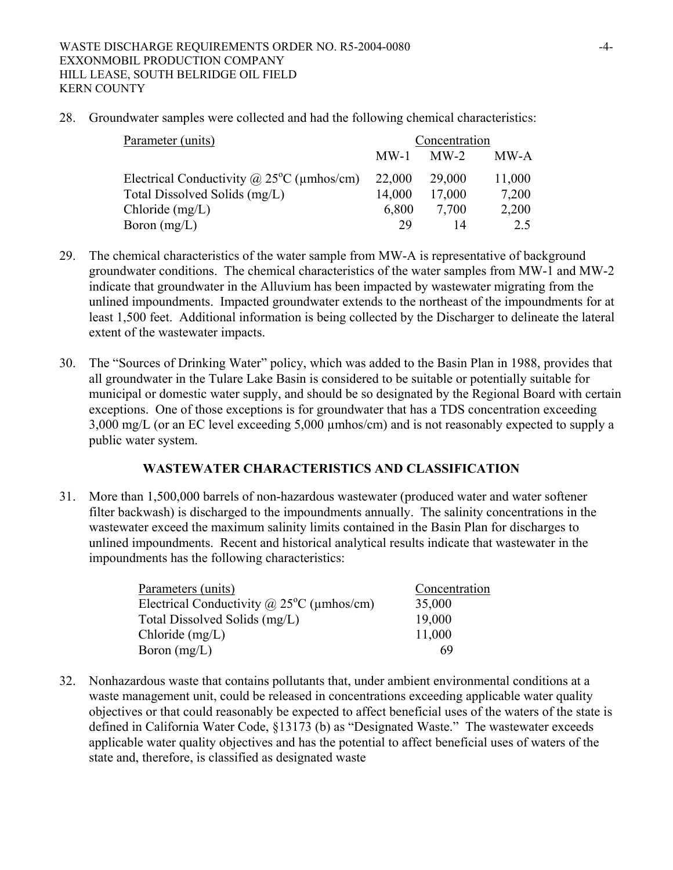28. Groundwater samples were collected and had the following chemical characteristics:

| Parameter (units)                                         | Concentration |        |        |
|-----------------------------------------------------------|---------------|--------|--------|
|                                                           | $MW-1$        | $MW-2$ | MW-A   |
| Electrical Conductivity @ $25^{\circ}$ C ( $\mu$ mhos/cm) | 22,000        | 29,000 | 11,000 |
| Total Dissolved Solids (mg/L)                             | 14,000        | 17,000 | 7,200  |
| Chloride $(mg/L)$                                         | 6,800         | 7.700  | 2,200  |
| Boron $(mg/L)$                                            | 29            |        | 2.5    |

- 29. The chemical characteristics of the water sample from MW-A is representative of background groundwater conditions. The chemical characteristics of the water samples from MW-1 and MW-2 indicate that groundwater in the Alluvium has been impacted by wastewater migrating from the unlined impoundments. Impacted groundwater extends to the northeast of the impoundments for at least 1,500 feet. Additional information is being collected by the Discharger to delineate the lateral extent of the wastewater impacts.
- 30. The "Sources of Drinking Water" policy, which was added to the Basin Plan in 1988, provides that all groundwater in the Tulare Lake Basin is considered to be suitable or potentially suitable for municipal or domestic water supply, and should be so designated by the Regional Board with certain exceptions. One of those exceptions is for groundwater that has a TDS concentration exceeding 3,000 mg/L (or an EC level exceeding 5,000 µmhos/cm) and is not reasonably expected to supply a public water system.

#### **WASTEWATER CHARACTERISTICS AND CLASSIFICATION**

31. More than 1,500,000 barrels of non-hazardous wastewater (produced water and water softener filter backwash) is discharged to the impoundments annually. The salinity concentrations in the wastewater exceed the maximum salinity limits contained in the Basin Plan for discharges to unlined impoundments. Recent and historical analytical results indicate that wastewater in the impoundments has the following characteristics:

| Parameters (units)                                  | Concentration |
|-----------------------------------------------------|---------------|
| Electrical Conductivity @ $25^{\circ}$ C (µmhos/cm) | 35,000        |
| Total Dissolved Solids (mg/L)                       | 19,000        |
| Chloride $(mg/L)$                                   | 11,000        |
| Boron $(mg/L)$                                      | 69            |

32. Nonhazardous waste that contains pollutants that, under ambient environmental conditions at a waste management unit, could be released in concentrations exceeding applicable water quality objectives or that could reasonably be expected to affect beneficial uses of the waters of the state is defined in California Water Code, §13173 (b) as "Designated Waste." The wastewater exceeds applicable water quality objectives and has the potential to affect beneficial uses of waters of the state and, therefore, is classified as designated waste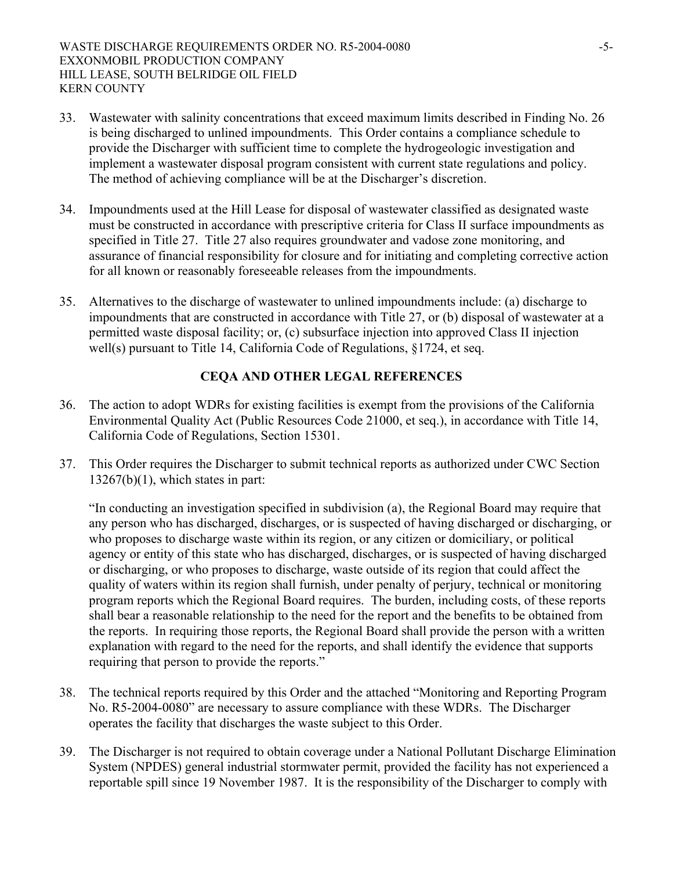- 33. Wastewater with salinity concentrations that exceed maximum limits described in Finding No. 26 is being discharged to unlined impoundments. This Order contains a compliance schedule to provide the Discharger with sufficient time to complete the hydrogeologic investigation and implement a wastewater disposal program consistent with current state regulations and policy. The method of achieving compliance will be at the Discharger's discretion.
- 34. Impoundments used at the Hill Lease for disposal of wastewater classified as designated waste must be constructed in accordance with prescriptive criteria for Class II surface impoundments as specified in Title 27. Title 27 also requires groundwater and vadose zone monitoring, and assurance of financial responsibility for closure and for initiating and completing corrective action for all known or reasonably foreseeable releases from the impoundments.
- 35. Alternatives to the discharge of wastewater to unlined impoundments include: (a) discharge to impoundments that are constructed in accordance with Title 27, or (b) disposal of wastewater at a permitted waste disposal facility; or, (c) subsurface injection into approved Class II injection well(s) pursuant to Title 14, California Code of Regulations, §1724, et seq.

# **CEQA AND OTHER LEGAL REFERENCES**

- 36. The action to adopt WDRs for existing facilities is exempt from the provisions of the California Environmental Quality Act (Public Resources Code 21000, et seq.), in accordance with Title 14, California Code of Regulations, Section 15301.
- 37. This Order requires the Discharger to submit technical reports as authorized under CWC Section  $13267(b)(1)$ , which states in part:

"In conducting an investigation specified in subdivision (a), the Regional Board may require that any person who has discharged, discharges, or is suspected of having discharged or discharging, or who proposes to discharge waste within its region, or any citizen or domiciliary, or political agency or entity of this state who has discharged, discharges, or is suspected of having discharged or discharging, or who proposes to discharge, waste outside of its region that could affect the quality of waters within its region shall furnish, under penalty of perjury, technical or monitoring program reports which the Regional Board requires. The burden, including costs, of these reports shall bear a reasonable relationship to the need for the report and the benefits to be obtained from the reports. In requiring those reports, the Regional Board shall provide the person with a written explanation with regard to the need for the reports, and shall identify the evidence that supports requiring that person to provide the reports."

- 38. The technical reports required by this Order and the attached "Monitoring and Reporting Program No. R5-2004-0080" are necessary to assure compliance with these WDRs. The Discharger operates the facility that discharges the waste subject to this Order.
- 39. The Discharger is not required to obtain coverage under a National Pollutant Discharge Elimination System (NPDES) general industrial stormwater permit, provided the facility has not experienced a reportable spill since 19 November 1987. It is the responsibility of the Discharger to comply with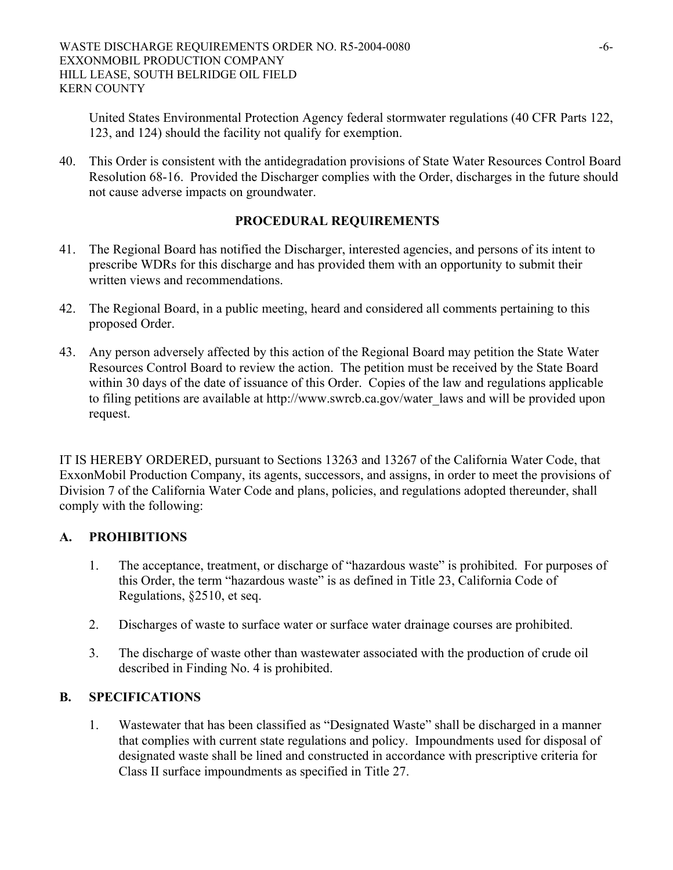United States Environmental Protection Agency federal stormwater regulations (40 CFR Parts 122, 123, and 124) should the facility not qualify for exemption.

40. This Order is consistent with the antidegradation provisions of State Water Resources Control Board Resolution 68-16. Provided the Discharger complies with the Order, discharges in the future should not cause adverse impacts on groundwater.

# **PROCEDURAL REQUIREMENTS**

- 41. The Regional Board has notified the Discharger, interested agencies, and persons of its intent to prescribe WDRs for this discharge and has provided them with an opportunity to submit their written views and recommendations.
- 42. The Regional Board, in a public meeting, heard and considered all comments pertaining to this proposed Order.
- 43. Any person adversely affected by this action of the Regional Board may petition the State Water Resources Control Board to review the action. The petition must be received by the State Board within 30 days of the date of issuance of this Order. Copies of the law and regulations applicable to filing petitions are available at http://www.swrcb.ca.gov/water\_laws and will be provided upon request.

IT IS HEREBY ORDERED, pursuant to Sections 13263 and 13267 of the California Water Code, that ExxonMobil Production Company, its agents, successors, and assigns, in order to meet the provisions of Division 7 of the California Water Code and plans, policies, and regulations adopted thereunder, shall comply with the following:

## **A. PROHIBITIONS**

- 1. The acceptance, treatment, or discharge of "hazardous waste" is prohibited. For purposes of this Order, the term "hazardous waste" is as defined in Title 23, California Code of Regulations, §2510, et seq.
- 2. Discharges of waste to surface water or surface water drainage courses are prohibited.
- 3. The discharge of waste other than wastewater associated with the production of crude oil described in Finding No. 4 is prohibited.

# **B. SPECIFICATIONS**

1. Wastewater that has been classified as "Designated Waste" shall be discharged in a manner that complies with current state regulations and policy. Impoundments used for disposal of designated waste shall be lined and constructed in accordance with prescriptive criteria for Class II surface impoundments as specified in Title 27.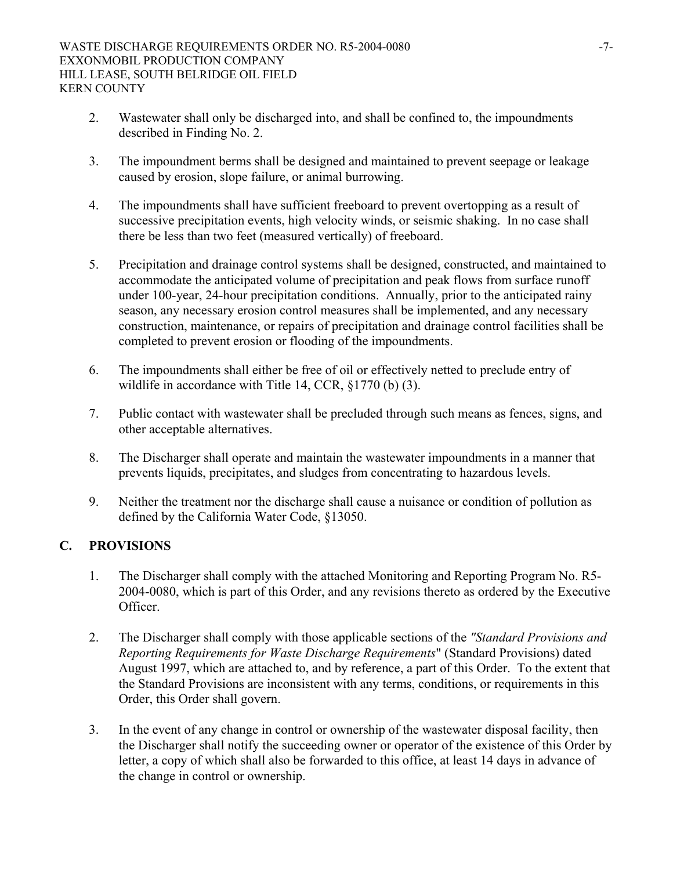- 2. Wastewater shall only be discharged into, and shall be confined to, the impoundments described in Finding No. 2.
- 3. The impoundment berms shall be designed and maintained to prevent seepage or leakage caused by erosion, slope failure, or animal burrowing.
- 4. The impoundments shall have sufficient freeboard to prevent overtopping as a result of successive precipitation events, high velocity winds, or seismic shaking. In no case shall there be less than two feet (measured vertically) of freeboard.
- 5. Precipitation and drainage control systems shall be designed, constructed, and maintained to accommodate the anticipated volume of precipitation and peak flows from surface runoff under 100-year, 24-hour precipitation conditions. Annually, prior to the anticipated rainy season, any necessary erosion control measures shall be implemented, and any necessary construction, maintenance, or repairs of precipitation and drainage control facilities shall be completed to prevent erosion or flooding of the impoundments.
- 6. The impoundments shall either be free of oil or effectively netted to preclude entry of wildlife in accordance with Title 14, CCR, §1770 (b) (3).
- 7. Public contact with wastewater shall be precluded through such means as fences, signs, and other acceptable alternatives.
- 8. The Discharger shall operate and maintain the wastewater impoundments in a manner that prevents liquids, precipitates, and sludges from concentrating to hazardous levels.
- 9. Neither the treatment nor the discharge shall cause a nuisance or condition of pollution as defined by the California Water Code, §13050.

# **C. PROVISIONS**

- 1. The Discharger shall comply with the attached Monitoring and Reporting Program No. R5- 2004-0080, which is part of this Order, and any revisions thereto as ordered by the Executive **Officer**
- 2. The Discharger shall comply with those applicable sections of the *"Standard Provisions and Reporting Requirements for Waste Discharge Requirements*" (Standard Provisions) dated August 1997, which are attached to, and by reference, a part of this Order. To the extent that the Standard Provisions are inconsistent with any terms, conditions, or requirements in this Order, this Order shall govern.
- 3. In the event of any change in control or ownership of the wastewater disposal facility, then the Discharger shall notify the succeeding owner or operator of the existence of this Order by letter, a copy of which shall also be forwarded to this office, at least 14 days in advance of the change in control or ownership.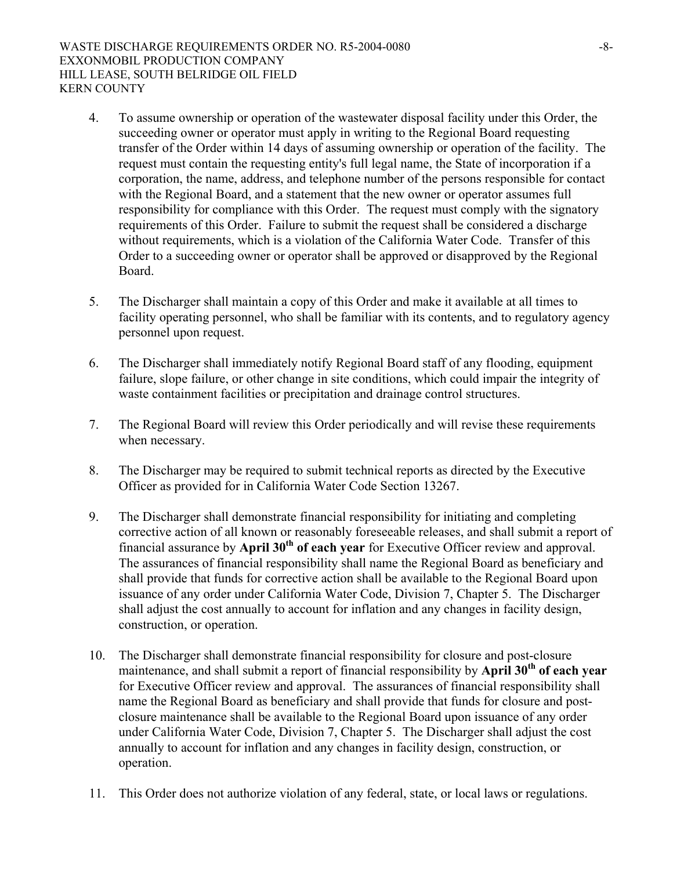- 4. To assume ownership or operation of the wastewater disposal facility under this Order, the succeeding owner or operator must apply in writing to the Regional Board requesting transfer of the Order within 14 days of assuming ownership or operation of the facility. The request must contain the requesting entity's full legal name, the State of incorporation if a corporation, the name, address, and telephone number of the persons responsible for contact with the Regional Board, and a statement that the new owner or operator assumes full responsibility for compliance with this Order. The request must comply with the signatory requirements of this Order. Failure to submit the request shall be considered a discharge without requirements, which is a violation of the California Water Code. Transfer of this Order to a succeeding owner or operator shall be approved or disapproved by the Regional **Board**
- 5. The Discharger shall maintain a copy of this Order and make it available at all times to facility operating personnel, who shall be familiar with its contents, and to regulatory agency personnel upon request.
- 6. The Discharger shall immediately notify Regional Board staff of any flooding, equipment failure, slope failure, or other change in site conditions, which could impair the integrity of waste containment facilities or precipitation and drainage control structures.
- 7. The Regional Board will review this Order periodically and will revise these requirements when necessary.
- 8. The Discharger may be required to submit technical reports as directed by the Executive Officer as provided for in California Water Code Section 13267.
- 9. The Discharger shall demonstrate financial responsibility for initiating and completing corrective action of all known or reasonably foreseeable releases, and shall submit a report of financial assurance by **April 30<sup>th</sup> of each year** for Executive Officer review and approval. The assurances of financial responsibility shall name the Regional Board as beneficiary and shall provide that funds for corrective action shall be available to the Regional Board upon issuance of any order under California Water Code, Division 7, Chapter 5. The Discharger shall adjust the cost annually to account for inflation and any changes in facility design, construction, or operation.
- 10. The Discharger shall demonstrate financial responsibility for closure and post-closure maintenance, and shall submit a report of financial responsibility by **April 30<sup>th</sup>** of each year for Executive Officer review and approval. The assurances of financial responsibility shall name the Regional Board as beneficiary and shall provide that funds for closure and postclosure maintenance shall be available to the Regional Board upon issuance of any order under California Water Code, Division 7, Chapter 5. The Discharger shall adjust the cost annually to account for inflation and any changes in facility design, construction, or operation.
- 11. This Order does not authorize violation of any federal, state, or local laws or regulations.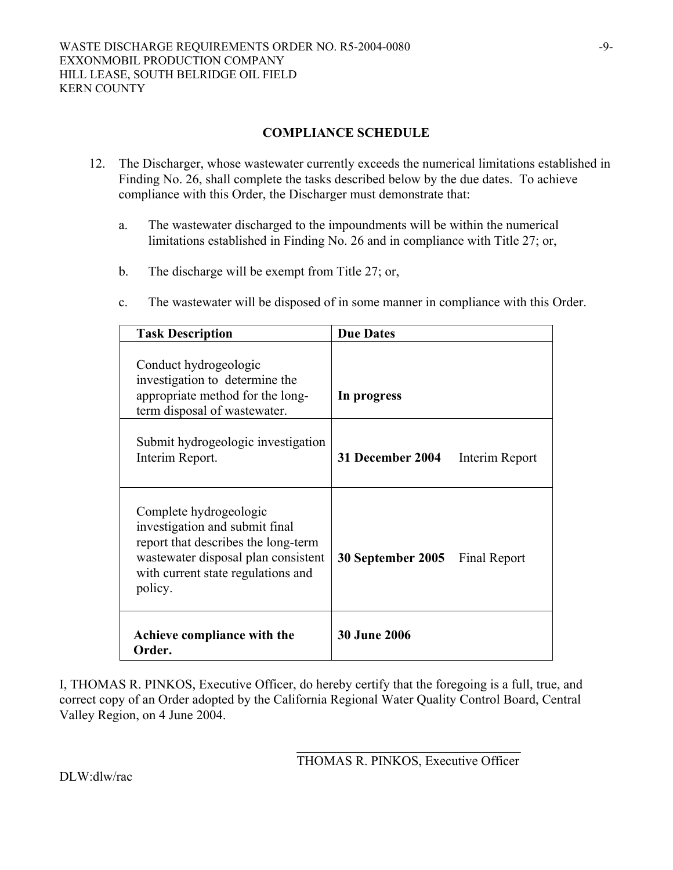#### **COMPLIANCE SCHEDULE**

- 12. The Discharger, whose wastewater currently exceeds the numerical limitations established in Finding No. 26, shall complete the tasks described below by the due dates. To achieve compliance with this Order, the Discharger must demonstrate that:
	- a. The wastewater discharged to the impoundments will be within the numerical limitations established in Finding No. 26 and in compliance with Title 27; or,
	- b. The discharge will be exempt from Title 27; or,
	- c. The wastewater will be disposed of in some manner in compliance with this Order.

| <b>Task Description</b>                                                                                                                                                                 | <b>Due Dates</b>                   |
|-----------------------------------------------------------------------------------------------------------------------------------------------------------------------------------------|------------------------------------|
| Conduct hydrogeologic<br>investigation to determine the<br>appropriate method for the long-<br>term disposal of wastewater.                                                             | In progress                        |
| Submit hydrogeologic investigation<br>Interim Report.                                                                                                                                   | 31 December 2004<br>Interim Report |
| Complete hydrogeologic<br>investigation and submit final<br>report that describes the long-term<br>wastewater disposal plan consistent<br>with current state regulations and<br>policy. | 30 September 2005<br>Final Report  |
| Achieve compliance with the<br>Order.                                                                                                                                                   | <b>30 June 2006</b>                |

I, THOMAS R. PINKOS, Executive Officer, do hereby certify that the foregoing is a full, true, and correct copy of an Order adopted by the California Regional Water Quality Control Board, Central Valley Region, on 4 June 2004.

 $\mathcal{L}_\text{max}$  and the contract of the contract of the contract of the contract of the contract of the contract of the contract of the contract of the contract of the contract of the contract of the contract of the contrac

THOMAS R. PINKOS, Executive Officer

DLW:dlw/rac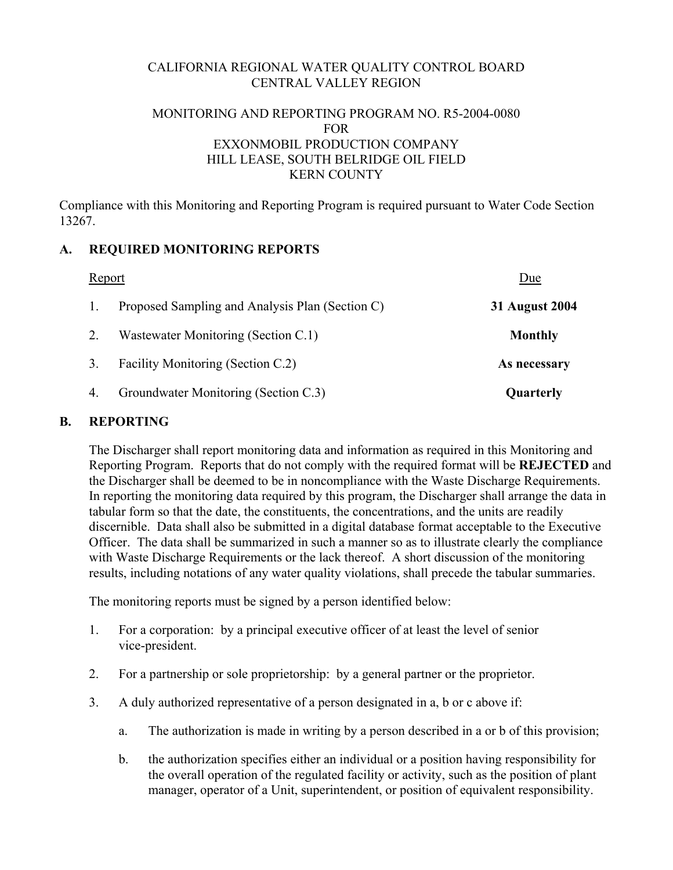# CALIFORNIA REGIONAL WATER QUALITY CONTROL BOARD CENTRAL VALLEY REGION

## MONITORING AND REPORTING PROGRAM NO. R5-2004-0080 FOR EXXONMOBIL PRODUCTION COMPANY HILL LEASE, SOUTH BELRIDGE OIL FIELD KERN COUNTY

Compliance with this Monitoring and Reporting Program is required pursuant to Water Code Section 13267.

## **A. REQUIRED MONITORING REPORTS**

| <b>Report</b> |                                                 | Due                   |  |
|---------------|-------------------------------------------------|-----------------------|--|
|               | Proposed Sampling and Analysis Plan (Section C) | <b>31 August 2004</b> |  |
| 2.            | Wastewater Monitoring (Section C.1)             | <b>Monthly</b>        |  |
| 3.            | Facility Monitoring (Section C.2)               | As necessary          |  |
| 4.            | Groundwater Monitoring (Section C.3)            | Quarterly             |  |

### **B. REPORTING**

The Discharger shall report monitoring data and information as required in this Monitoring and Reporting Program. Reports that do not comply with the required format will be **REJECTED** and the Discharger shall be deemed to be in noncompliance with the Waste Discharge Requirements. In reporting the monitoring data required by this program, the Discharger shall arrange the data in tabular form so that the date, the constituents, the concentrations, and the units are readily discernible. Data shall also be submitted in a digital database format acceptable to the Executive Officer. The data shall be summarized in such a manner so as to illustrate clearly the compliance with Waste Discharge Requirements or the lack thereof. A short discussion of the monitoring results, including notations of any water quality violations, shall precede the tabular summaries.

The monitoring reports must be signed by a person identified below:

- 1. For a corporation: by a principal executive officer of at least the level of senior vice-president.
- 2. For a partnership or sole proprietorship: by a general partner or the proprietor.
- 3. A duly authorized representative of a person designated in a, b or c above if:
	- a. The authorization is made in writing by a person described in a or b of this provision;
	- b. the authorization specifies either an individual or a position having responsibility for the overall operation of the regulated facility or activity, such as the position of plant manager, operator of a Unit, superintendent, or position of equivalent responsibility.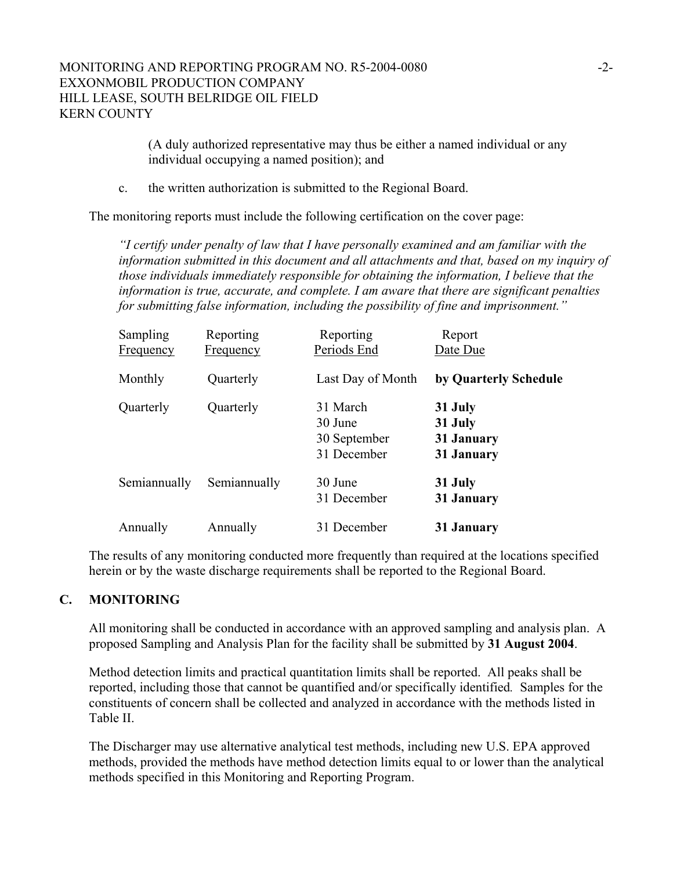(A duly authorized representative may thus be either a named individual or any individual occupying a named position); and

c. the written authorization is submitted to the Regional Board.

The monitoring reports must include the following certification on the cover page:

*"I certify under penalty of law that I have personally examined and am familiar with the information submitted in this document and all attachments and that, based on my inquiry of those individuals immediately responsible for obtaining the information, I believe that the information is true, accurate, and complete. I am aware that there are significant penalties for submitting false information, including the possibility of fine and imprisonment."* 

| Sampling<br><b>Frequency</b> | Reporting<br>Frequency | Reporting<br>Periods End                           | Report<br>Date Due                             |
|------------------------------|------------------------|----------------------------------------------------|------------------------------------------------|
| Monthly                      | Quarterly              | Last Day of Month                                  | by Quarterly Schedule                          |
| Quarterly                    | Quarterly              | 31 March<br>30 June<br>30 September<br>31 December | 31 July<br>31 July<br>31 January<br>31 January |
| Semiannually                 | Semiannually           | 30 June<br>31 December                             | 31 July<br>31 January                          |
| Annually                     | Annually               | 31 December                                        | 31 January                                     |

The results of any monitoring conducted more frequently than required at the locations specified herein or by the waste discharge requirements shall be reported to the Regional Board.

#### **C. MONITORING**

All monitoring shall be conducted in accordance with an approved sampling and analysis plan. A proposed Sampling and Analysis Plan for the facility shall be submitted by **31 August 2004**.

Method detection limits and practical quantitation limits shall be reported. All peaks shall be reported, including those that cannot be quantified and/or specifically identified*.* Samples for the constituents of concern shall be collected and analyzed in accordance with the methods listed in Table II.

The Discharger may use alternative analytical test methods, including new U.S. EPA approved methods, provided the methods have method detection limits equal to or lower than the analytical methods specified in this Monitoring and Reporting Program.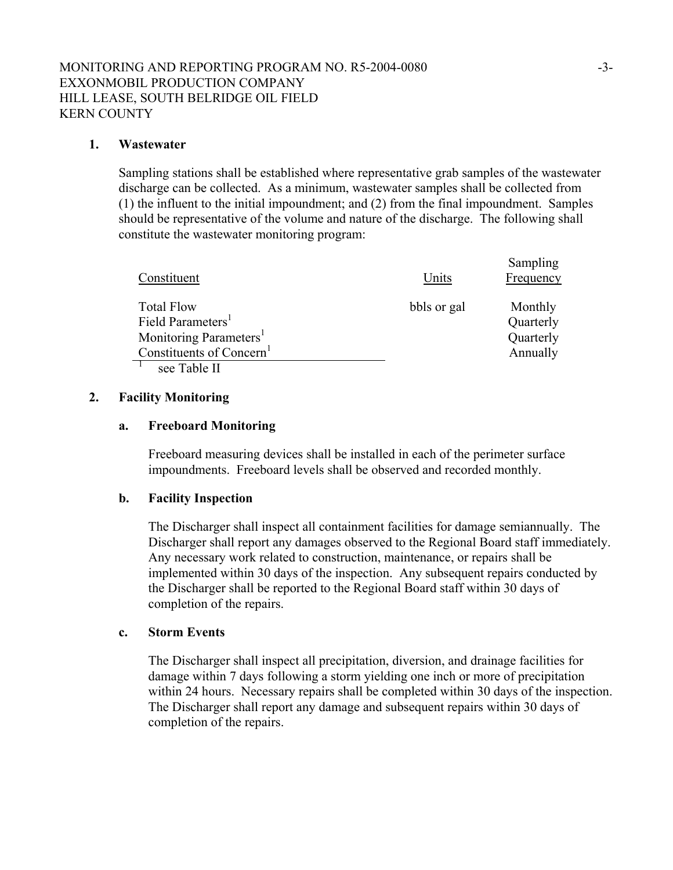#### **1. Wastewater**

Sampling stations shall be established where representative grab samples of the wastewater discharge can be collected. As a minimum, wastewater samples shall be collected from (1) the influent to the initial impoundment; and (2) from the final impoundment. Samples should be representative of the volume and nature of the discharge. The following shall constitute the wastewater monitoring program:

| Constituent                                                                                                                                      | Units       | Sampling<br>Frequency                         |
|--------------------------------------------------------------------------------------------------------------------------------------------------|-------------|-----------------------------------------------|
| <b>Total Flow</b><br>Field Parameters <sup>1</sup><br>Monitoring Parameters <sup>1</sup><br>Constituents of Concern <sup>1</sup><br>see Table II | bbls or gal | Monthly<br>Quarterly<br>Quarterly<br>Annually |

#### **2. Facility Monitoring**

#### **a. Freeboard Monitoring**

Freeboard measuring devices shall be installed in each of the perimeter surface impoundments. Freeboard levels shall be observed and recorded monthly.

#### **b. Facility Inspection**

The Discharger shall inspect all containment facilities for damage semiannually. The Discharger shall report any damages observed to the Regional Board staff immediately. Any necessary work related to construction, maintenance, or repairs shall be implemented within 30 days of the inspection. Any subsequent repairs conducted by the Discharger shall be reported to the Regional Board staff within 30 days of completion of the repairs.

#### **c. Storm Events**

The Discharger shall inspect all precipitation, diversion, and drainage facilities for damage within 7 days following a storm yielding one inch or more of precipitation within 24 hours. Necessary repairs shall be completed within 30 days of the inspection. The Discharger shall report any damage and subsequent repairs within 30 days of completion of the repairs.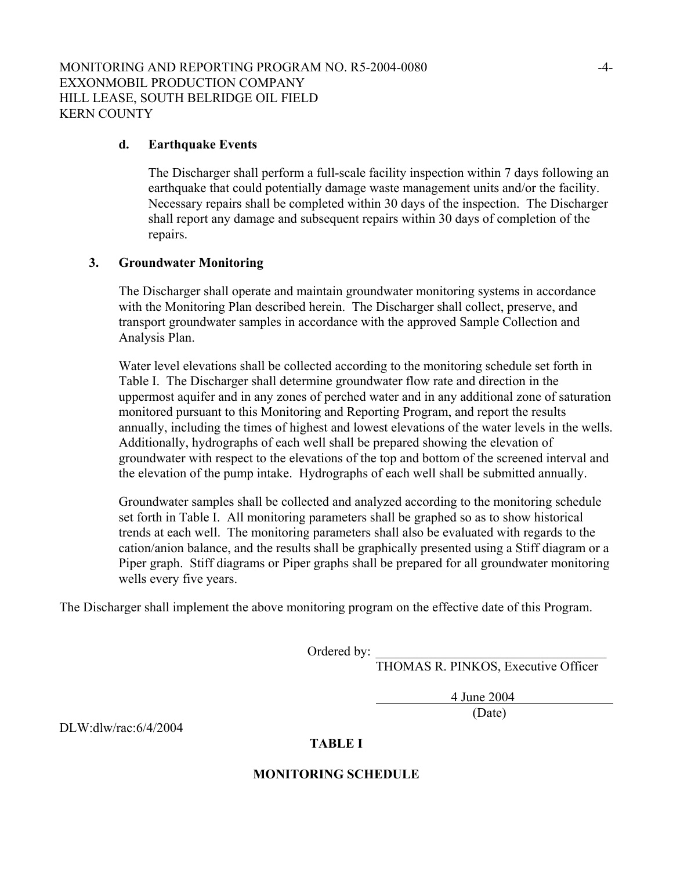#### **d. Earthquake Events**

The Discharger shall perform a full-scale facility inspection within 7 days following an earthquake that could potentially damage waste management units and/or the facility. Necessary repairs shall be completed within 30 days of the inspection. The Discharger shall report any damage and subsequent repairs within 30 days of completion of the repairs.

### **3. Groundwater Monitoring**

The Discharger shall operate and maintain groundwater monitoring systems in accordance with the Monitoring Plan described herein. The Discharger shall collect, preserve, and transport groundwater samples in accordance with the approved Sample Collection and Analysis Plan.

Water level elevations shall be collected according to the monitoring schedule set forth in Table I. The Discharger shall determine groundwater flow rate and direction in the uppermost aquifer and in any zones of perched water and in any additional zone of saturation monitored pursuant to this Monitoring and Reporting Program, and report the results annually, including the times of highest and lowest elevations of the water levels in the wells. Additionally, hydrographs of each well shall be prepared showing the elevation of groundwater with respect to the elevations of the top and bottom of the screened interval and the elevation of the pump intake. Hydrographs of each well shall be submitted annually.

Groundwater samples shall be collected and analyzed according to the monitoring schedule set forth in Table I. All monitoring parameters shall be graphed so as to show historical trends at each well. The monitoring parameters shall also be evaluated with regards to the cation/anion balance, and the results shall be graphically presented using a Stiff diagram or a Piper graph. Stiff diagrams or Piper graphs shall be prepared for all groundwater monitoring wells every five years.

The Discharger shall implement the above monitoring program on the effective date of this Program.

Ordered by:

THOMAS R. PINKOS, Executive Officer

4 June 2004

(Date)

DLW:dlw/rac:6/4/2004

## **TABLE I**

#### **MONITORING SCHEDULE**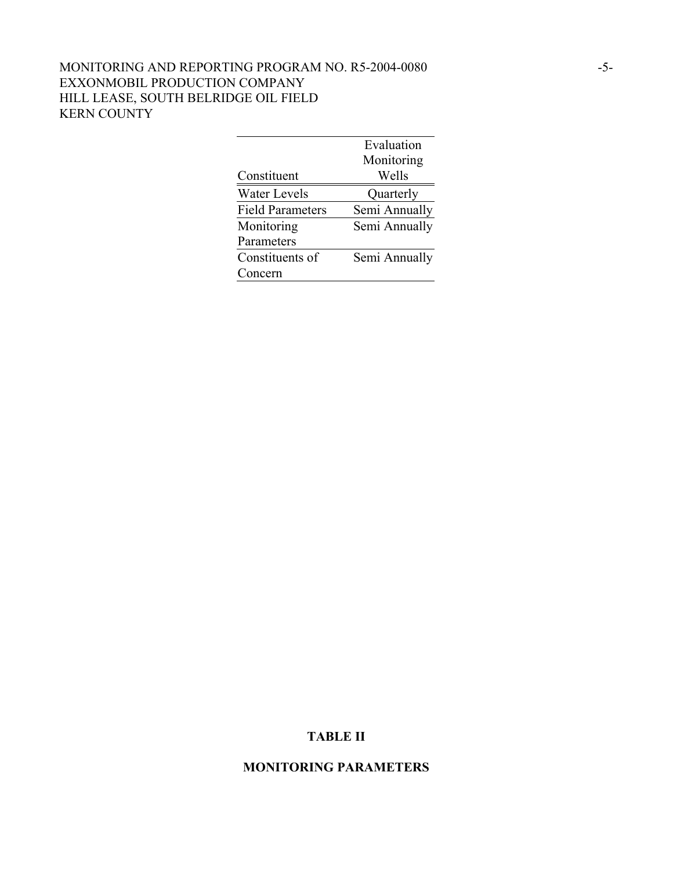# MONITORING AND REPORTING PROGRAM NO. R5-2004-0080 -5- EXXONMOBIL PRODUCTION COMPANY HILL LEASE, SOUTH BELRIDGE OIL FIELD KERN COUNTY

|                         | Evaluation    |
|-------------------------|---------------|
|                         | Monitoring    |
| Constituent             | Wells         |
| <b>Water Levels</b>     | Quarterly     |
| <b>Field Parameters</b> | Semi Annually |
| Monitoring              | Semi Annually |
| Parameters              |               |
| Constituents of         | Semi Annually |
| Concern                 |               |

# **TABLE II**

### **MONITORING PARAMETERS**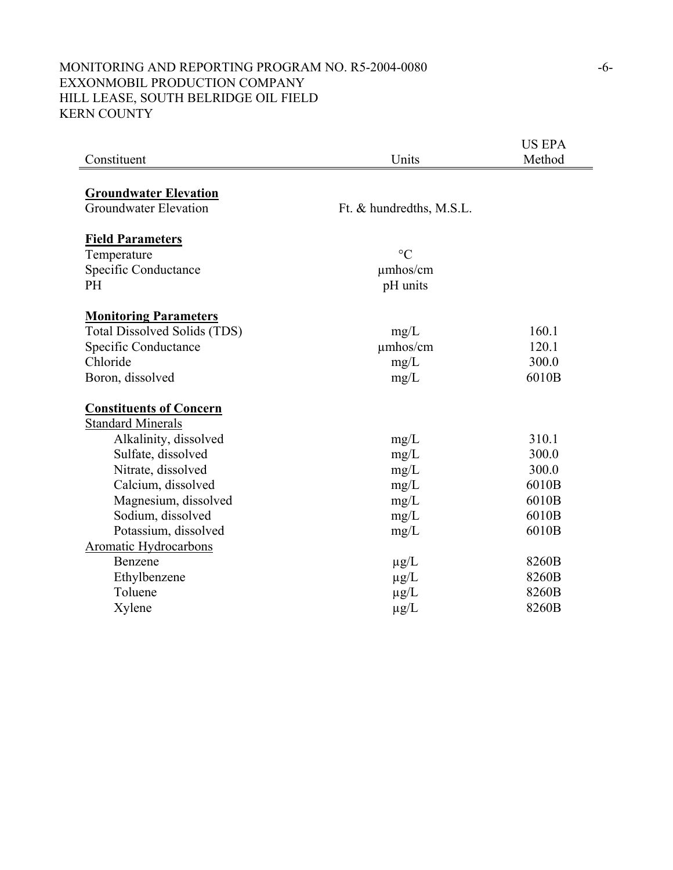# MONITORING AND REPORTING PROGRAM NO. R5-2004-0080 -6- EXXONMOBIL PRODUCTION COMPANY HILL LEASE, SOUTH BELRIDGE OIL FIELD KERN COUNTY

|                                |                          | <b>US EPA</b> |
|--------------------------------|--------------------------|---------------|
| Constituent                    | Units                    | Method        |
|                                |                          |               |
| <b>Groundwater Elevation</b>   |                          |               |
| <b>Groundwater Elevation</b>   | Ft. & hundredths, M.S.L. |               |
|                                |                          |               |
| <b>Field Parameters</b>        |                          |               |
| Temperature                    | $\rm ^{\circ}C$          |               |
| Specific Conductance           | $\mu$ mhos/cm            |               |
| <b>PH</b>                      | pH units                 |               |
|                                |                          |               |
| <b>Monitoring Parameters</b>   |                          |               |
| Total Dissolved Solids (TDS)   | mg/L                     | 160.1         |
| Specific Conductance           | $\mu$ mhos/cm            | 120.1         |
| Chloride                       | mg/L                     | 300.0         |
| Boron, dissolved               | mg/L                     | 6010B         |
| <b>Constituents of Concern</b> |                          |               |
| <b>Standard Minerals</b>       |                          |               |
| Alkalinity, dissolved          | mg/L                     | 310.1         |
| Sulfate, dissolved             | mg/L                     | 300.0         |
| Nitrate, dissolved             | mg/L                     | 300.0         |
| Calcium, dissolved             | mg/L                     | 6010B         |
| Magnesium, dissolved           | mg/L                     | 6010B         |
| Sodium, dissolved              | mg/L                     | 6010B         |
| Potassium, dissolved           | mg/L                     | 6010B         |
| Aromatic Hydrocarbons          |                          |               |
| Benzene                        | $\mu$ g/L                | 8260B         |
| Ethylbenzene                   | $\mu$ g/L                | 8260B         |
| Toluene                        | $\mu$ g/L                | 8260B         |
| Xylene                         | $\mu$ g/L                | 8260B         |
|                                |                          |               |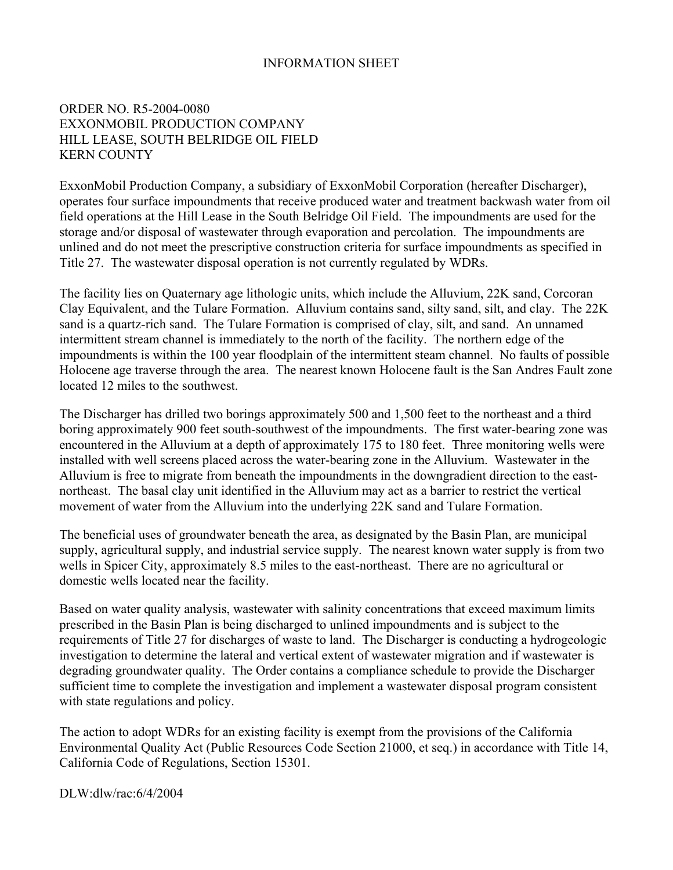### INFORMATION SHEET

### ORDER NO. R5-2004-0080 EXXONMOBIL PRODUCTION COMPANY HILL LEASE, SOUTH BELRIDGE OIL FIELD KERN COUNTY

ExxonMobil Production Company, a subsidiary of ExxonMobil Corporation (hereafter Discharger), operates four surface impoundments that receive produced water and treatment backwash water from oil field operations at the Hill Lease in the South Belridge Oil Field. The impoundments are used for the storage and/or disposal of wastewater through evaporation and percolation. The impoundments are unlined and do not meet the prescriptive construction criteria for surface impoundments as specified in Title 27. The wastewater disposal operation is not currently regulated by WDRs.

The facility lies on Quaternary age lithologic units, which include the Alluvium, 22K sand, Corcoran Clay Equivalent, and the Tulare Formation. Alluvium contains sand, silty sand, silt, and clay. The 22K sand is a quartz-rich sand. The Tulare Formation is comprised of clay, silt, and sand. An unnamed intermittent stream channel is immediately to the north of the facility. The northern edge of the impoundments is within the 100 year floodplain of the intermittent steam channel. No faults of possible Holocene age traverse through the area. The nearest known Holocene fault is the San Andres Fault zone located 12 miles to the southwest.

The Discharger has drilled two borings approximately 500 and 1,500 feet to the northeast and a third boring approximately 900 feet south-southwest of the impoundments. The first water-bearing zone was encountered in the Alluvium at a depth of approximately 175 to 180 feet. Three monitoring wells were installed with well screens placed across the water-bearing zone in the Alluvium. Wastewater in the Alluvium is free to migrate from beneath the impoundments in the downgradient direction to the eastnortheast. The basal clay unit identified in the Alluvium may act as a barrier to restrict the vertical movement of water from the Alluvium into the underlying 22K sand and Tulare Formation.

The beneficial uses of groundwater beneath the area, as designated by the Basin Plan, are municipal supply, agricultural supply, and industrial service supply. The nearest known water supply is from two wells in Spicer City, approximately 8.5 miles to the east-northeast. There are no agricultural or domestic wells located near the facility.

Based on water quality analysis, wastewater with salinity concentrations that exceed maximum limits prescribed in the Basin Plan is being discharged to unlined impoundments and is subject to the requirements of Title 27 for discharges of waste to land. The Discharger is conducting a hydrogeologic investigation to determine the lateral and vertical extent of wastewater migration and if wastewater is degrading groundwater quality. The Order contains a compliance schedule to provide the Discharger sufficient time to complete the investigation and implement a wastewater disposal program consistent with state regulations and policy.

The action to adopt WDRs for an existing facility is exempt from the provisions of the California Environmental Quality Act (Public Resources Code Section 21000, et seq.) in accordance with Title 14, California Code of Regulations, Section 15301.

DLW:dlw/rac:6/4/2004